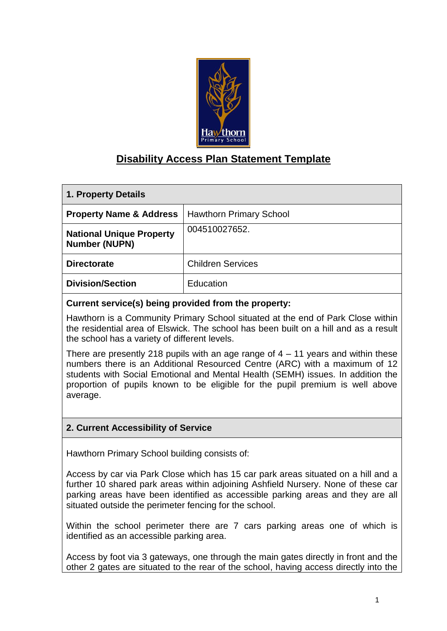

# **Disability Access Plan Statement Template**

| 1. Property Details                                     |                                |  |  |
|---------------------------------------------------------|--------------------------------|--|--|
| <b>Property Name &amp; Address</b>                      | <b>Hawthorn Primary School</b> |  |  |
| <b>National Unique Property</b><br><b>Number (NUPN)</b> | 004510027652.                  |  |  |
| <b>Directorate</b>                                      | <b>Children Services</b>       |  |  |
| <b>Division/Section</b>                                 | Education                      |  |  |

#### **Current service(s) being provided from the property:**

Hawthorn is a Community Primary School situated at the end of Park Close within the residential area of Elswick. The school has been built on a hill and as a result the school has a variety of different levels.

There are presently 218 pupils with an age range of  $4 - 11$  years and within these numbers there is an Additional Resourced Centre (ARC) with a maximum of 12 students with Social Emotional and Mental Health (SEMH) issues. In addition the proportion of pupils known to be eligible for the pupil premium is well above average.

### **2. Current Accessibility of Service**

Hawthorn Primary School building consists of:

Access by car via Park Close which has 15 car park areas situated on a hill and a further 10 shared park areas within adjoining Ashfield Nursery. None of these car parking areas have been identified as accessible parking areas and they are all situated outside the perimeter fencing for the school.

Within the school perimeter there are 7 cars parking areas one of which is identified as an accessible parking area.

Access by foot via 3 gateways, one through the main gates directly in front and the other 2 gates are situated to the rear of the school, having access directly into the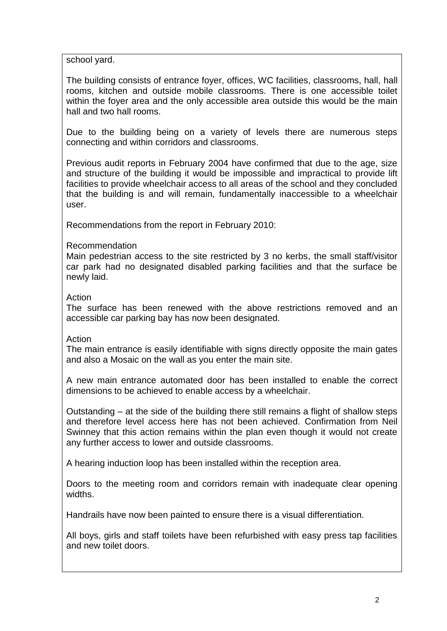school yard.

The building consists of entrance foyer, offices, WC facilities, classrooms, hall, hall rooms, kitchen and outside mobile classrooms. There is one accessible toilet within the foyer area and the only accessible area outside this would be the main hall and two hall rooms.

Due to the building being on a variety of levels there are numerous steps connecting and within corridors and classrooms.

Previous audit reports in February 2004 have confirmed that due to the age, size and structure of the building it would be impossible and impractical to provide lift facilities to provide wheelchair access to all areas of the school and they concluded that the building is and will remain, fundamentally inaccessible to a wheelchair user.

Recommendations from the report in February 2010:

#### Recommendation

Main pedestrian access to the site restricted by 3 no kerbs, the small staff/visitor car park had no designated disabled parking facilities and that the surface be newly laid.

#### Action

The surface has been renewed with the above restrictions removed and an accessible car parking bay has now been designated.

#### Action

The main entrance is easily identifiable with signs directly opposite the main gates and also a Mosaic on the wall as you enter the main site.

A new main entrance automated door has been installed to enable the correct dimensions to be achieved to enable access by a wheelchair.

Outstanding – at the side of the building there still remains a flight of shallow steps and therefore level access here has not been achieved. Confirmation from Neil Swinney that this action remains within the plan even though it would not create any further access to lower and outside classrooms.

A hearing induction loop has been installed within the reception area.

Doors to the meeting room and corridors remain with inadequate clear opening widths.

Handrails have now been painted to ensure there is a visual differentiation.

All boys, girls and staff toilets have been refurbished with easy press tap facilities and new toilet doors.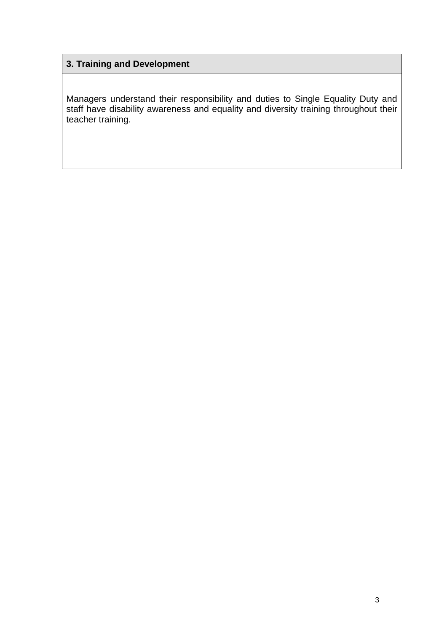# **3. Training and Development**

Managers understand their responsibility and duties to Single Equality Duty and staff have disability awareness and equality and diversity training throughout their teacher training.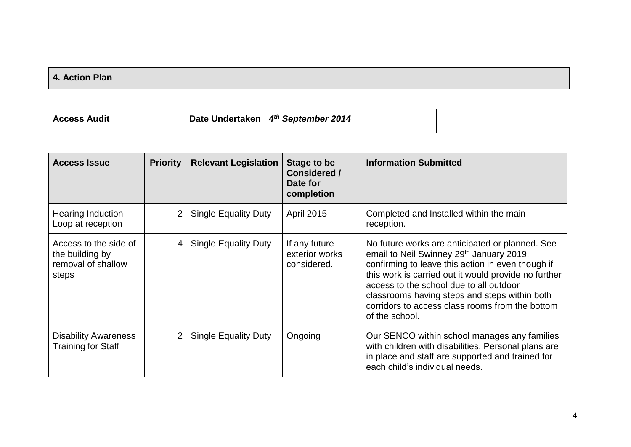## **4. Action Plan**

**Access Audit Date Undertaken** *4 th September 2014*

| <b>Access Issue</b>                                                     | <b>Priority</b> | <b>Relevant Legislation</b> | Stage to be<br>Considered /<br>Date for<br>completion | <b>Information Submitted</b>                                                                                                                                                                                                                                                                                                                                              |
|-------------------------------------------------------------------------|-----------------|-----------------------------|-------------------------------------------------------|---------------------------------------------------------------------------------------------------------------------------------------------------------------------------------------------------------------------------------------------------------------------------------------------------------------------------------------------------------------------------|
| Hearing Induction<br>Loop at reception                                  | $\overline{2}$  | <b>Single Equality Duty</b> | <b>April 2015</b>                                     | Completed and Installed within the main<br>reception.                                                                                                                                                                                                                                                                                                                     |
| Access to the side of<br>the building by<br>removal of shallow<br>steps | $\overline{4}$  | <b>Single Equality Duty</b> | If any future<br>exterior works<br>considered.        | No future works are anticipated or planned. See<br>email to Neil Swinney 29th January 2019,<br>confirming to leave this action in even though if<br>this work is carried out it would provide no further<br>access to the school due to all outdoor<br>classrooms having steps and steps within both<br>corridors to access class rooms from the bottom<br>of the school. |
| <b>Disability Awareness</b><br>Training for Staff                       | $\overline{2}$  | <b>Single Equality Duty</b> | Ongoing                                               | Our SENCO within school manages any families<br>with children with disabilities. Personal plans are<br>in place and staff are supported and trained for<br>each child's individual needs.                                                                                                                                                                                 |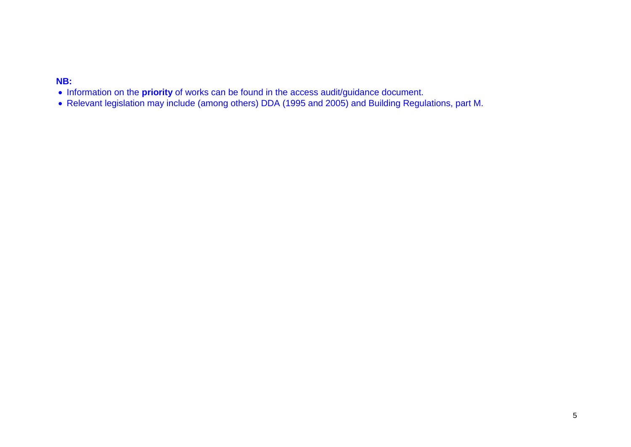### **NB:**

- Information on the **priority** of works can be found in the access audit/guidance document.
- Relevant legislation may include (among others) DDA (1995 and 2005) and Building Regulations, part M.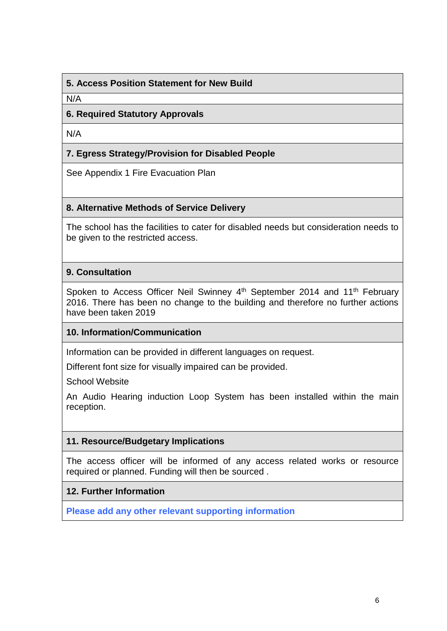### **5. Access Position Statement for New Build**

N/A

### **6. Required Statutory Approvals**

N/A

### **7. Egress Strategy/Provision for Disabled People**

See Appendix 1 Fire Evacuation Plan

#### **8. Alternative Methods of Service Delivery**

The school has the facilities to cater for disabled needs but consideration needs to be given to the restricted access.

### **9. Consultation**

Spoken to Access Officer Neil Swinney 4<sup>th</sup> September 2014 and 11<sup>th</sup> February 2016. There has been no change to the building and therefore no further actions have been taken 2019

### **10. Information/Communication**

Information can be provided in different languages on request.

Different font size for visually impaired can be provided.

School Website

An Audio Hearing induction Loop System has been installed within the main reception.

#### **11. Resource/Budgetary Implications**

The access officer will be informed of any access related works or resource required or planned. Funding will then be sourced .

### **12. Further Information**

**Please add any other relevant supporting information**